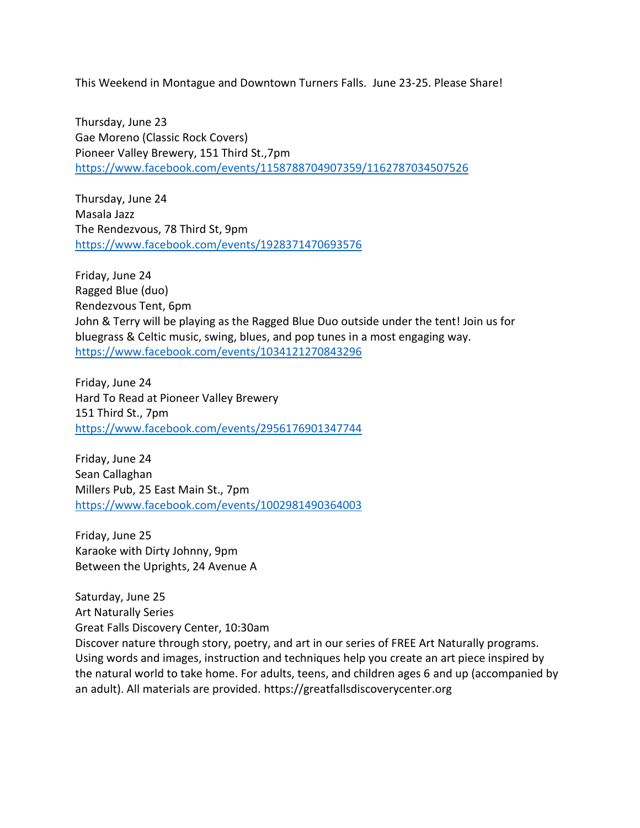This Weekend in Montague and Downtown Turners Falls. June 23-25. Please Share!

Thursday, June 23 Gae Moreno (Classic Rock Covers) Pioneer Valley Brewery, 151 Third St.,7pm <https://www.facebook.com/events/1158788704907359/1162787034507526>

Thursday, June 24 Masala Jazz The Rendezvous, 78 Third St, 9pm <https://www.facebook.com/events/1928371470693576>

Friday, June 24 Ragged Blue (duo) Rendezvous Tent, 6pm John & Terry will be playing as the Ragged Blue Duo outside under the tent! Join us for bluegrass & Celtic music, swing, blues, and pop tunes in a most engaging way. <https://www.facebook.com/events/1034121270843296>

Friday, June 24 Hard To Read at Pioneer Valley Brewery 151 Third St., 7pm <https://www.facebook.com/events/2956176901347744>

Friday, June 24 Sean Callaghan Millers Pub, 25 East Main St., 7pm <https://www.facebook.com/events/1002981490364003>

Friday, June 25 Karaoke with Dirty Johnny, 9pm Between the Uprights, 24 Avenue A

Saturday, June 25 Art Naturally Series Great Falls Discovery Center, 10:30am Discover nature through story, poetry, and art in our series of FREE Art Naturally programs. Using words and images, instruction and techniques help you create an art piece inspired by the natural world to take home. For adults, teens, and children ages 6 and up (accompanied by an adult). All materials are provided. https://greatfallsdiscoverycenter.org